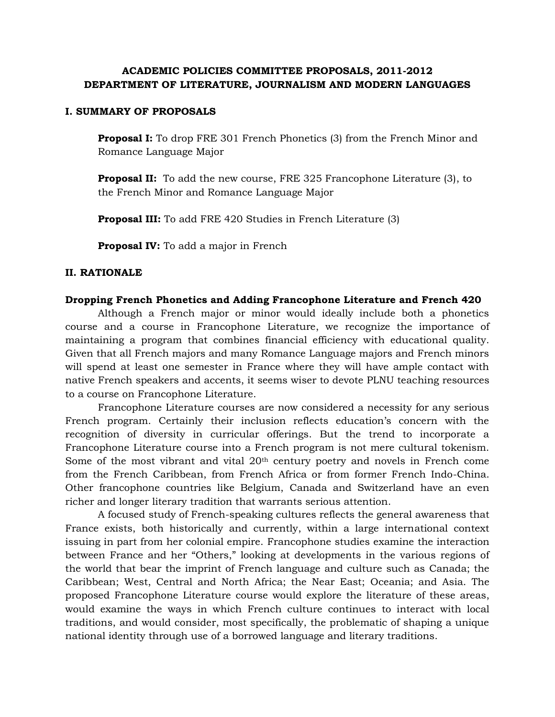## **ACADEMIC POLICIES COMMITTEE PROPOSALS, 2011-2012 DEPARTMENT OF LITERATURE, JOURNALISM AND MODERN LANGUAGES**

#### **I. SUMMARY OF PROPOSALS**

**Proposal I:** To drop FRE 301 French Phonetics (3) from the French Minor and Romance Language Major

**Proposal II:** To add the new course, FRE 325 Francophone Literature (3), to the French Minor and Romance Language Major

**Proposal III:** To add FRE 420 Studies in French Literature (3)

**Proposal IV:** To add a major in French

#### **II. RATIONALE**

#### **Dropping French Phonetics and Adding Francophone Literature and French 420**

Although a French major or minor would ideally include both a phonetics course and a course in Francophone Literature, we recognize the importance of maintaining a program that combines financial efficiency with educational quality. Given that all French majors and many Romance Language majors and French minors will spend at least one semester in France where they will have ample contact with native French speakers and accents, it seems wiser to devote PLNU teaching resources to a course on Francophone Literature.

Francophone Literature courses are now considered a necessity for any serious French program. Certainly their inclusion reflects education's concern with the recognition of diversity in curricular offerings. But the trend to incorporate a Francophone Literature course into a French program is not mere cultural tokenism. Some of the most vibrant and vital  $20<sup>th</sup>$  century poetry and novels in French come from the French Caribbean, from French Africa or from former French Indo-China. Other francophone countries like Belgium, Canada and Switzerland have an even richer and longer literary tradition that warrants serious attention.

A focused study of French-speaking cultures reflects the general awareness that France exists, both historically and currently, within a large international context issuing in part from her colonial empire. Francophone studies examine the interaction between France and her "Others," looking at developments in the various regions of the world that bear the imprint of French language and culture such as Canada; the Caribbean; West, Central and North Africa; the Near East; Oceania; and Asia. The proposed Francophone Literature course would explore the literature of these areas, would examine the ways in which French culture continues to interact with local traditions, and would consider, most specifically, the problematic of shaping a unique national identity through use of a borrowed language and literary traditions.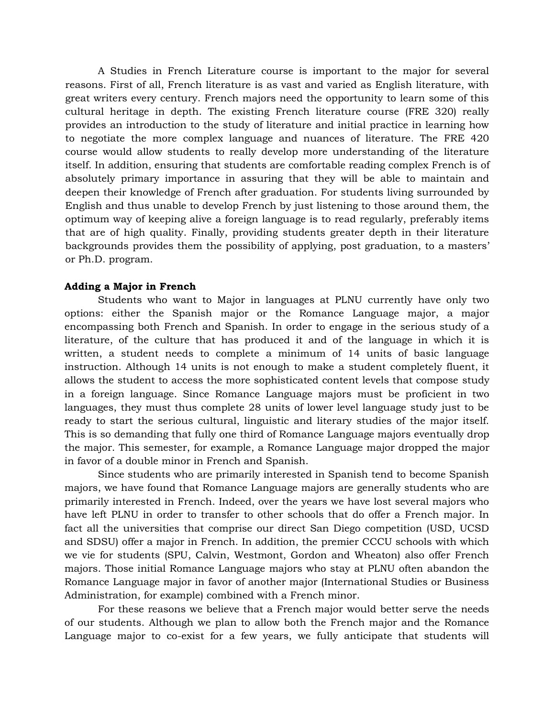A Studies in French Literature course is important to the major for several reasons. First of all, French literature is as vast and varied as English literature, with great writers every century. French majors need the opportunity to learn some of this cultural heritage in depth. The existing French literature course (FRE 320) really provides an introduction to the study of literature and initial practice in learning how to negotiate the more complex language and nuances of literature. The FRE 420 course would allow students to really develop more understanding of the literature itself. In addition, ensuring that students are comfortable reading complex French is of absolutely primary importance in assuring that they will be able to maintain and deepen their knowledge of French after graduation. For students living surrounded by English and thus unable to develop French by just listening to those around them, the optimum way of keeping alive a foreign language is to read regularly, preferably items that are of high quality. Finally, providing students greater depth in their literature backgrounds provides them the possibility of applying, post graduation, to a masters' or Ph.D. program.

#### **Adding a Major in French**

Students who want to Major in languages at PLNU currently have only two options: either the Spanish major or the Romance Language major, a major encompassing both French and Spanish. In order to engage in the serious study of a literature, of the culture that has produced it and of the language in which it is written, a student needs to complete a minimum of 14 units of basic language instruction. Although 14 units is not enough to make a student completely fluent, it allows the student to access the more sophisticated content levels that compose study in a foreign language. Since Romance Language majors must be proficient in two languages, they must thus complete 28 units of lower level language study just to be ready to start the serious cultural, linguistic and literary studies of the major itself. This is so demanding that fully one third of Romance Language majors eventually drop the major. This semester, for example, a Romance Language major dropped the major in favor of a double minor in French and Spanish.

Since students who are primarily interested in Spanish tend to become Spanish majors, we have found that Romance Language majors are generally students who are primarily interested in French. Indeed, over the years we have lost several majors who have left PLNU in order to transfer to other schools that do offer a French major. In fact all the universities that comprise our direct San Diego competition (USD, UCSD and SDSU) offer a major in French. In addition, the premier CCCU schools with which we vie for students (SPU, Calvin, Westmont, Gordon and Wheaton) also offer French majors. Those initial Romance Language majors who stay at PLNU often abandon the Romance Language major in favor of another major (International Studies or Business Administration, for example) combined with a French minor.

For these reasons we believe that a French major would better serve the needs of our students. Although we plan to allow both the French major and the Romance Language major to co-exist for a few years, we fully anticipate that students will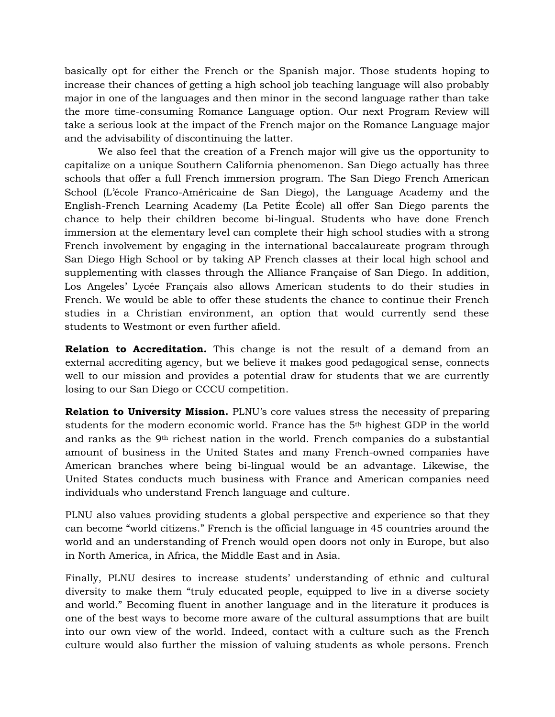basically opt for either the French or the Spanish major. Those students hoping to increase their chances of getting a high school job teaching language will also probably major in one of the languages and then minor in the second language rather than take the more time-consuming Romance Language option. Our next Program Review will take a serious look at the impact of the French major on the Romance Language major and the advisability of discontinuing the latter.

We also feel that the creation of a French major will give us the opportunity to capitalize on a unique Southern California phenomenon. San Diego actually has three schools that offer a full French immersion program. The San Diego French American School (L'école Franco-Américaine de San Diego), the Language Academy and the English-French Learning Academy (La Petite École) all offer San Diego parents the chance to help their children become bi-lingual. Students who have done French immersion at the elementary level can complete their high school studies with a strong French involvement by engaging in the international baccalaureate program through San Diego High School or by taking AP French classes at their local high school and supplementing with classes through the Alliance Française of San Diego. In addition, Los Angeles' Lycée Français also allows American students to do their studies in French. We would be able to offer these students the chance to continue their French studies in a Christian environment, an option that would currently send these students to Westmont or even further afield.

**Relation to Accreditation.** This change is not the result of a demand from an external accrediting agency, but we believe it makes good pedagogical sense, connects well to our mission and provides a potential draw for students that we are currently losing to our San Diego or CCCU competition.

**Relation to University Mission.** PLNU's core values stress the necessity of preparing students for the modern economic world. France has the 5th highest GDP in the world and ranks as the 9th richest nation in the world. French companies do a substantial amount of business in the United States and many French-owned companies have American branches where being bi-lingual would be an advantage. Likewise, the United States conducts much business with France and American companies need individuals who understand French language and culture.

PLNU also values providing students a global perspective and experience so that they can become "world citizens." French is the official language in 45 countries around the world and an understanding of French would open doors not only in Europe, but also in North America, in Africa, the Middle East and in Asia.

Finally, PLNU desires to increase students' understanding of ethnic and cultural diversity to make them "truly educated people, equipped to live in a diverse society and world." Becoming fluent in another language and in the literature it produces is one of the best ways to become more aware of the cultural assumptions that are built into our own view of the world. Indeed, contact with a culture such as the French culture would also further the mission of valuing students as whole persons. French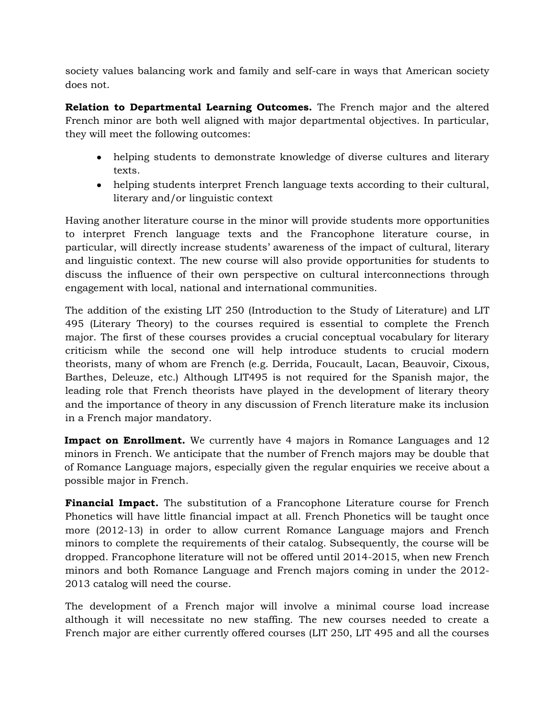society values balancing work and family and self-care in ways that American society does not.

**Relation to Departmental Learning Outcomes.** The French major and the altered French minor are both well aligned with major departmental objectives. In particular, they will meet the following outcomes:

- helping students to demonstrate knowledge of diverse cultures and literary texts.
- helping students interpret French language texts according to their cultural, literary and/or linguistic context

Having another literature course in the minor will provide students more opportunities to interpret French language texts and the Francophone literature course, in particular, will directly increase students' awareness of the impact of cultural, literary and linguistic context. The new course will also provide opportunities for students to discuss the influence of their own perspective on cultural interconnections through engagement with local, national and international communities.

The addition of the existing LIT 250 (Introduction to the Study of Literature) and LIT 495 (Literary Theory) to the courses required is essential to complete the French major. The first of these courses provides a crucial conceptual vocabulary for literary criticism while the second one will help introduce students to crucial modern theorists, many of whom are French (e.g. Derrida, Foucault, Lacan, Beauvoir, Cixous, Barthes, Deleuze, etc.) Although LIT495 is not required for the Spanish major, the leading role that French theorists have played in the development of literary theory and the importance of theory in any discussion of French literature make its inclusion in a French major mandatory.

**Impact on Enrollment.** We currently have 4 majors in Romance Languages and 12 minors in French. We anticipate that the number of French majors may be double that of Romance Language majors, especially given the regular enquiries we receive about a possible major in French.

**Financial Impact.** The substitution of a Francophone Literature course for French Phonetics will have little financial impact at all. French Phonetics will be taught once more (2012-13) in order to allow current Romance Language majors and French minors to complete the requirements of their catalog. Subsequently, the course will be dropped. Francophone literature will not be offered until 2014-2015, when new French minors and both Romance Language and French majors coming in under the 2012- 2013 catalog will need the course.

The development of a French major will involve a minimal course load increase although it will necessitate no new staffing. The new courses needed to create a French major are either currently offered courses (LIT 250, LIT 495 and all the courses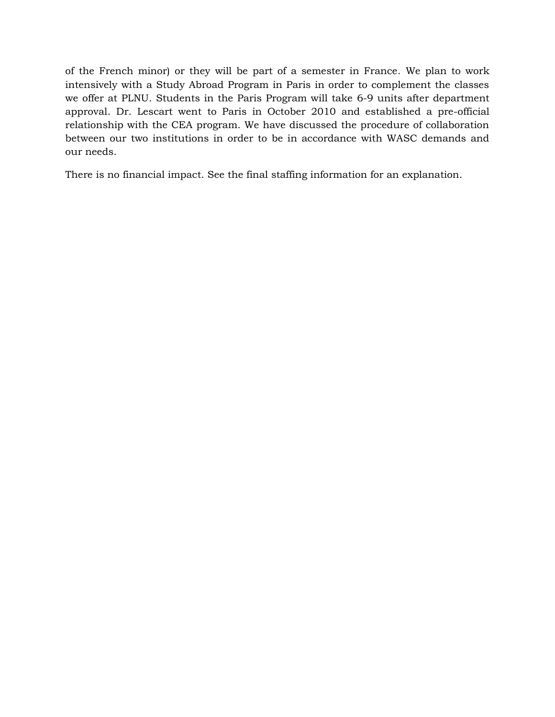of the French minor) or they will be part of a semester in France. We plan to work intensively with a Study Abroad Program in Paris in order to complement the classes we offer at PLNU. Students in the Paris Program will take 6-9 units after department approval. Dr. Lescart went to Paris in October 2010 and established a pre-official relationship with the CEA program. We have discussed the procedure of collaboration between our two institutions in order to be in accordance with WASC demands and our needs.

There is no financial impact. See the final staffing information for an explanation.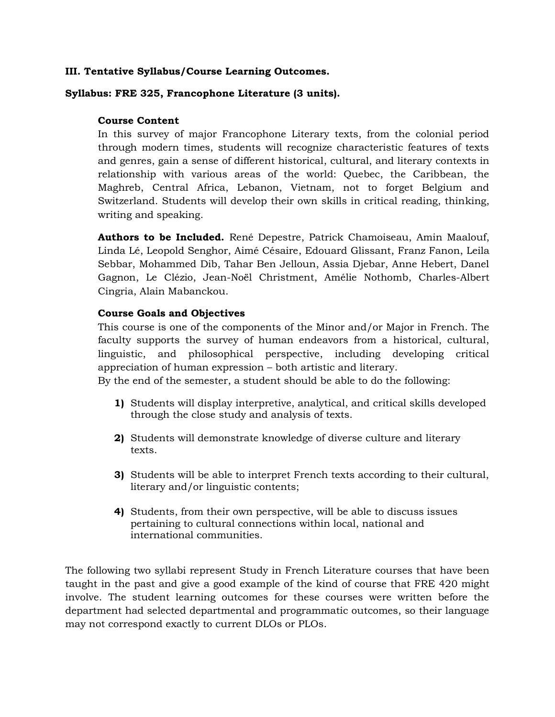### **III. Tentative Syllabus/Course Learning Outcomes.**

### **Syllabus: FRE 325, Francophone Literature (3 units).**

#### **Course Content**

In this survey of major Francophone Literary texts, from the colonial period through modern times, students will recognize characteristic features of texts and genres, gain a sense of different historical, cultural, and literary contexts in relationship with various areas of the world: Quebec, the Caribbean, the Maghreb, Central Africa, Lebanon, Vietnam, not to forget Belgium and Switzerland. Students will develop their own skills in critical reading, thinking, writing and speaking.

**Authors to be Included.** René Depestre, Patrick Chamoiseau, Amin Maalouf, Linda Lé, Leopold Senghor, Aimé Césaire, Edouard Glissant, Franz Fanon, Leila Sebbar, Mohammed Dib, Tahar Ben Jelloun, Assia Djebar, Anne Hebert, Danel Gagnon, Le Clézio, Jean-Noël Christment, Amélie Nothomb, Charles-Albert Cingria, Alain Mabanckou.

### **Course Goals and Objectives**

This course is one of the components of the Minor and/or Major in French. The faculty supports the survey of human endeavors from a historical, cultural, linguistic, and philosophical perspective, including developing critical appreciation of human expression – both artistic and literary.

By the end of the semester, a student should be able to do the following:

- **1)** Students will display interpretive, analytical, and critical skills developed through the close study and analysis of texts.
- **2)** Students will demonstrate knowledge of diverse culture and literary texts.
- **3)** Students will be able to interpret French texts according to their cultural, literary and/or linguistic contents;
- **4)** Students, from their own perspective, will be able to discuss issues pertaining to cultural connections within local, national and international communities.

The following two syllabi represent Study in French Literature courses that have been taught in the past and give a good example of the kind of course that FRE 420 might involve. The student learning outcomes for these courses were written before the department had selected departmental and programmatic outcomes, so their language may not correspond exactly to current DLOs or PLOs.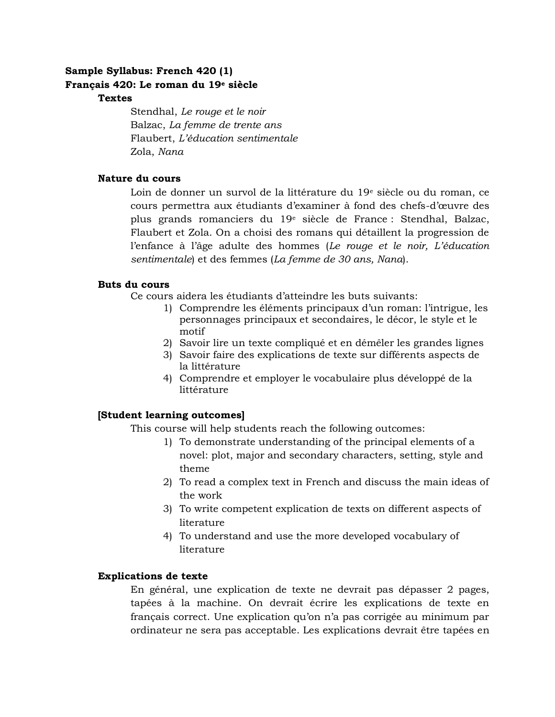# **Sample Syllabus: French 420 (1) Français 420: Le roman du 19<sup>e</sup> siècle**

### **Textes**

Stendhal, *Le rouge et le noir* Balzac, *La femme de trente ans* Flaubert, *L'éducation sentimentale* Zola, *Nana*

## **Nature du cours**

Loin de donner un survol de la littérature du 19<sup>e</sup> siècle ou du roman, ce cours permettra aux étudiants d'examiner à fond des chefs-d'œuvre des plus grands romanciers du 19<sup>e</sup> siècle de France : Stendhal, Balzac, Flaubert et Zola. On a choisi des romans qui détaillent la progression de l'enfance à l'âge adulte des hommes (*Le rouge et le noir, L'éducation sentimentale*) et des femmes (*La femme de 30 ans, Nana*).

### **Buts du cours**

Ce cours aidera les étudiants d'atteindre les buts suivants:

- 1) Comprendre les éléments principaux d'un roman: l'intrigue, les personnages principaux et secondaires, le décor, le style et le motif
- 2) Savoir lire un texte compliqué et en démêler les grandes lignes
- 3) Savoir faire des explications de texte sur différents aspects de la littérature
- 4) Comprendre et employer le vocabulaire plus développé de la littérature

## **[Student learning outcomes]**

This course will help students reach the following outcomes:

- 1) To demonstrate understanding of the principal elements of a novel: plot, major and secondary characters, setting, style and theme
- 2) To read a complex text in French and discuss the main ideas of the work
- 3) To write competent explication de texts on different aspects of literature
- 4) To understand and use the more developed vocabulary of literature

## **Explications de texte**

En général, une explication de texte ne devrait pas dépasser 2 pages, tapées à la machine. On devrait écrire les explications de texte en français correct. Une explication qu'on n'a pas corrigée au minimum par ordinateur ne sera pas acceptable. Les explications devrait être tapées en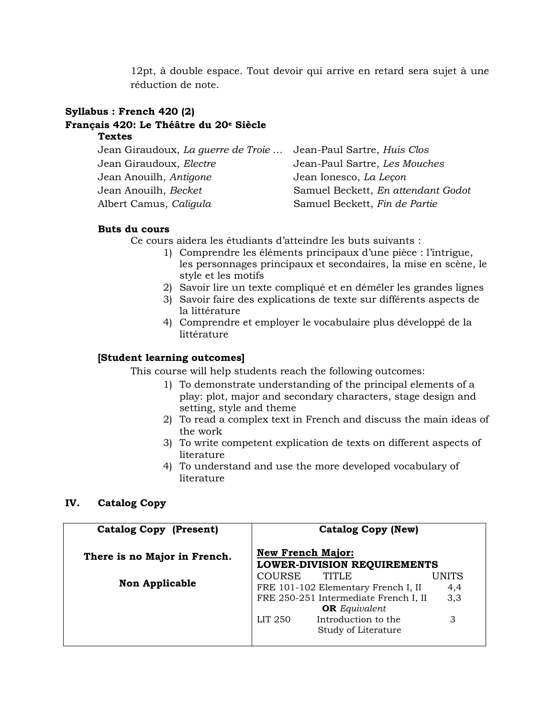12pt, à double espace. Tout devoir qui arrive en retard sera sujet à une réduction de note.

### **Syllabus : French 420 (2)**

## **Français 420: Le Théâtre du 20<sup>e</sup> Siècle**

#### **Textes**

| Jean Giraudoux, La querre de Troie  Jean-Paul Sartre, Huis Clos |                                    |
|-----------------------------------------------------------------|------------------------------------|
| Jean Giraudoux, Electre                                         | Jean-Paul Sartre, Les Mouches      |
| Jean Anouilh, Antigone                                          | Jean Ionesco, La Lecon             |
| Jean Anouilh, Becket                                            | Samuel Beckett, En attendant Godot |
| Albert Camus, Caligula                                          | Samuel Beckett, Fin de Partie      |

#### **Buts du cours**

Ce cours aidera les étudiants d'atteindre les buts suivants :

- 1) Comprendre les éléments principaux d'une pièce : l'intrigue, les personnages principaux et secondaires, la mise en scène, le style et les motifs
- 2) Savoir lire un texte compliqué et en démêler les grandes lignes
- 3) Savoir faire des explications de texte sur différents aspects de la littérature
- 4) Comprendre et employer le vocabulaire plus développé de la littérature

### **[Student learning outcomes]**

This course will help students reach the following outcomes:

- 1) To demonstrate understanding of the principal elements of a play: plot, major and secondary characters, stage design and setting, style and theme
- 2) To read a complex text in French and discuss the main ideas of the work
- 3) To write competent explication de texts on different aspects of literature
- 4) To understand and use the more developed vocabulary of literature

#### **IV. Catalog Copy**

| <b>Catalog Copy (Present)</b> | <b>Catalog Copy (New)</b>                                                                                   |
|-------------------------------|-------------------------------------------------------------------------------------------------------------|
| There is no Major in French.  | <b>New French Major:</b><br><b>LOWER-DIVISION REQUIREMENTS</b>                                              |
| <b>Non Applicable</b>         | COURSE<br>TITLE<br>UNITS<br>FRE 101-102 Elementary French I, II<br>4,4                                      |
|                               | FRE 250-251 Intermediate French I, II<br>3,3<br><b>OR</b> Equivalent<br>Introduction to the<br>LIT 250<br>3 |
|                               | Study of Literature                                                                                         |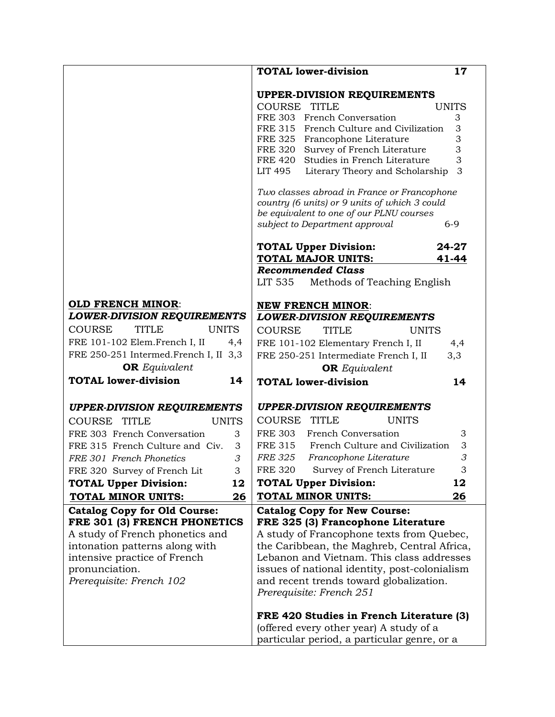|                                               | <b>TOTAL lower-division</b><br>17                      |
|-----------------------------------------------|--------------------------------------------------------|
|                                               | <b>UPPER-DIVISION REQUIREMENTS</b>                     |
|                                               | COURSE TITLE<br><b>UNITS</b>                           |
|                                               | FRE 303 French Conversation<br>3                       |
|                                               | 3<br>FRE 315 French Culture and Civilization           |
|                                               | 3<br>FRE 325 Francophone Literature                    |
|                                               | 3<br>FRE 320 Survey of French Literature               |
|                                               | 3<br>FRE 420 Studies in French Literature              |
|                                               | 3<br>LIT 495<br>Literary Theory and Scholarship        |
|                                               | Two classes abroad in France or Francophone            |
|                                               | country (6 units) or 9 units of which 3 could          |
|                                               | be equivalent to one of our PLNU courses               |
|                                               | subject to Department approval<br>$6 - 9$              |
|                                               | <b>TOTAL Upper Division:</b><br>24-27                  |
|                                               | TOTAL MAJOR UNITS:<br>41-44                            |
|                                               | <b>Recommended Class</b>                               |
|                                               | LIT 535<br>Methods of Teaching English                 |
| <b>OLD FRENCH MINOR:</b>                      | <b>NEW FRENCH MINOR:</b>                               |
| <b>LOWER-DIVISION REQUIREMENTS</b>            | <b>LOWER-DIVISION REQUIREMENTS</b>                     |
| <b>COURSE</b><br><b>TITLE</b><br><b>UNITS</b> | <b>COURSE</b><br><b>TITLE</b><br><b>UNITS</b>          |
| FRE 101-102 Elem.French I, II<br>4,4          | FRE 101-102 Elementary French I, II<br>4,4             |
| FRE 250-251 Intermed.French I, II 3,3         | 3,3<br>FRE 250-251 Intermediate French I, II           |
| <b>OR</b> Equivalent                          | <b>OR</b> Equivalent                                   |
| <b>TOTAL lower-division</b><br>14             | <b>TOTAL lower-division</b><br>14                      |
|                                               |                                                        |
| <b>UPPER-DIVISION REQUIREMENTS</b>            | <b>UPPER-DIVISION REQUIREMENTS</b>                     |
| <b>COURSE</b><br><b>TITLE</b><br><b>UNITS</b> | COURSE<br><b>TITLE</b><br><b>UNITS</b>                 |
| FRE 303 French Conversation<br>3              | <b>FRE 303</b><br>French Conversation<br>3             |
| FRE 315 French Culture and Civ.<br>3          | <b>FRE 315</b><br>French Culture and Civilization<br>3 |
| FRE 301 French Phonetics<br>3                 | 3<br><b>FRE 325</b><br>Francophone Literature          |
| FRE 320 Survey of French Lit<br>3             | Survey of French Literature<br><b>FRE 320</b><br>3     |
| <b>TOTAL Upper Division:</b><br>12            | <b>TOTAL Upper Division:</b><br>12                     |
| TOTAL MINOR UNITS:<br>26                      | 26<br>TOTAL MINOR UNITS:                               |
| <b>Catalog Copy for Old Course:</b>           | <b>Catalog Copy for New Course:</b>                    |
| FRE 301 (3) FRENCH PHONETICS                  | FRE 325 (3) Francophone Literature                     |
| A study of French phonetics and               | A study of Francophone texts from Quebec,              |
| intonation patterns along with                | the Caribbean, the Maghreb, Central Africa,            |
| intensive practice of French                  | Lebanon and Vietnam. This class addresses              |
| pronunciation.                                | issues of national identity, post-colonialism          |
| Prerequisite: French 102                      | and recent trends toward globalization.                |
|                                               | Prerequisite: French 251                               |
|                                               | FRE 420 Studies in French Literature (3)               |
|                                               | (offered every other year) A study of a                |
|                                               | particular period, a particular genre, or a            |